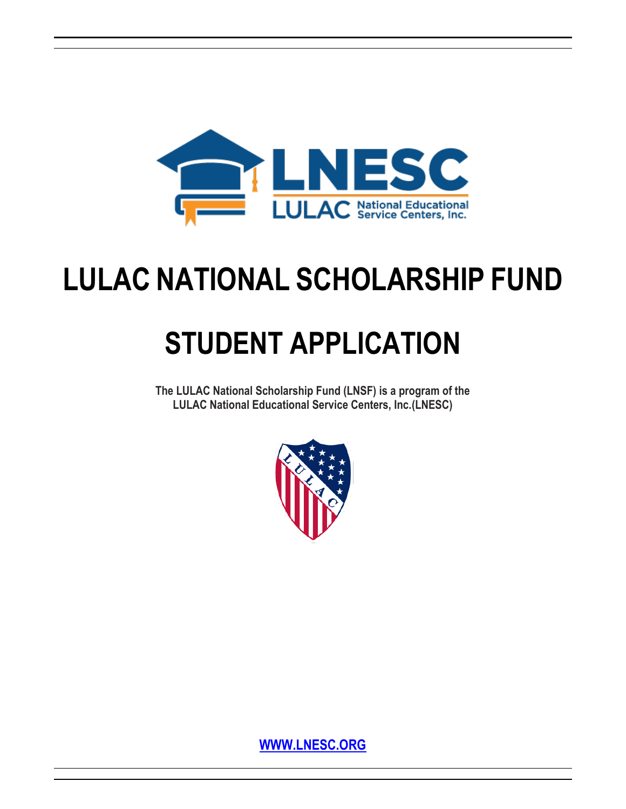

# **LULAC NATIONAL SCHOLARSHIP FUND**

# **STUDENT APPLICATION**

**The LULAC National Scholarship Fund (LNSF) is a program of the LULAC National Educational Service Centers, Inc.(LNESC)**



**WWW.LNESC.ORG**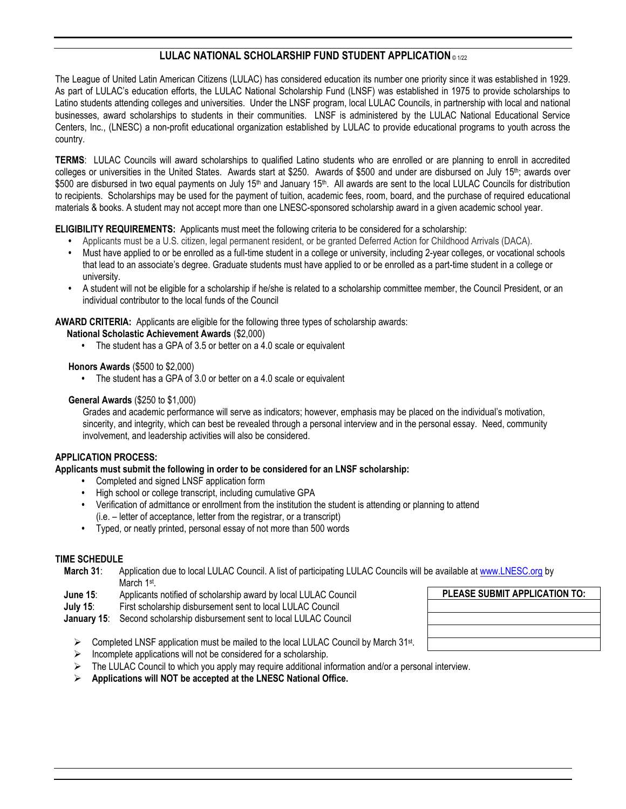### **LULAC NATIONAL SCHOLARSHIP FUND STUDENT APPLICATION** © 1/2<sup>2</sup>

The League of United Latin American Citizens (LULAC) has considered education its number one priority since it was established in 1929. As part of LULAC's education efforts, the LULAC National Scholarship Fund (LNSF) was established in 1975 to provide scholarships to Latino students attending colleges and universities. Under the LNSF program, local LULAC Councils, in partnership with local and national businesses, award scholarships to students in their communities. LNSF is administered by the LULAC National Educational Service Centers, Inc., (LNESC) a non-profit educational organization established by LULAC to provide educational programs to youth across the country.

**TERMS**: LULAC Councils will award scholarships to qualified Latino students who are enrolled or are planning to enroll in accredited colleges or universities in the United States. Awards start at \$250. Awards of \$500 and under are disbursed on July 15<sup>th</sup>; awards over \$500 are disbursed in two equal payments on July 15<sup>th</sup> and January 15<sup>th</sup>. All awards are sent to the local LULAC Councils for distribution to recipients. Scholarships may be used for the payment of tuition, academic fees, room, board, and the purchase of required educational materials & books. A student may not accept more than one LNESC-sponsored scholarship award in a given academic school year.

#### **ELIGIBILITY REQUIREMENTS:** Applicants must meet the following criteria to be considered for a scholarship:

- **•** Applicants must be a U.S. citizen, legal permanent resident, or be granted Deferred Action for Childhood Arrivals (DACA).
- **•** Must have applied to or be enrolled as a full-time student in a college or university, including 2-year colleges, or vocational schools that lead to an associate's degree. Graduate students must have applied to or be enrolled as a part-time student in a college or university.
- **•** A student will not be eligible for a scholarship if he/she is related to a scholarship committee member, the Council President, or an individual contributor to the local funds of the Council

#### **AWARD CRITERIA:** Applicants are eligible for the following three types of scholarship awards:

- **National Scholastic Achievement Awards** (\$2,000)
	- **•** The student has a GPA of 3.5 or better on a 4.0 scale or equivalent

#### **Honors Awards** (\$500 to \$2,000)

**•** The student has a GPA of 3.0 or better on a 4.0 scale or equivalent

#### **General Awards** (\$250 to \$1,000)

Grades and academic performance will serve as indicators; however, emphasis may be placed on the individual's motivation, sincerity, and integrity, which can best be revealed through a personal interview and in the personal essay. Need, community involvement, and leadership activities will also be considered.

#### **APPLICATION PROCESS:**

**Applicants must submit the following in order to be considered for an LNSF scholarship:**

- **•** Completed and signed LNSF application form
- **•** High school or college transcript, including cumulative GPA
- **•** Verification of admittance or enrollment from the institution the student is attending or planning to attend (i.e. – letter of acceptance, letter from the registrar, or a transcript)
- **•** Typed, or neatly printed, personal essay of not more than 500 words

#### **TIME SCHEDULE**

- **March 31**: Application due to local LULAC Council. A list of participating LULAC Councils will be available at www.LNESC.org by March 1st.
- **June 15**: Applicants notified of scholarship award by local LULAC Council
- **July 15**: First scholarship disbursement sent to local LULAC Council
- **January 15**: Second scholarship disbursement sent to local LULAC Council
	- ▶ Completed LNSF application must be mailed to the local LULAC Council by March 31<sup>st</sup>.
	- $\triangleright$  Incomplete applications will not be considered for a scholarship.
	- $\triangleright$  The LULAC Council to which you apply may require additional information and/or a personal interview.
	- **Applications will NOT be accepted at the LNESC National Office.**

| PLEASE SUBMIT APPLICATION TO: |
|-------------------------------|
|                               |
|                               |
|                               |
|                               |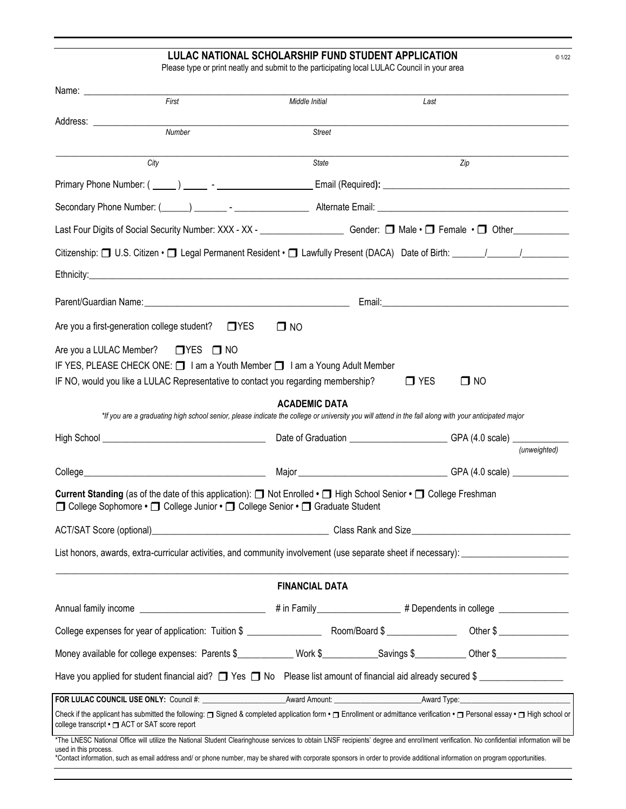#### **LULAC NATIONAL SCHOLARSHIP FUND STUDENT APPLICATION** © 1/22

Please type or print neatly and submit to the participating local LULAC Council in your area

|                                                                                                                                                                                                                                                                                                                                                                                                 | First                                                                                                                                                | Middle Initial        | Last                                                                             |           |              |  |  |
|-------------------------------------------------------------------------------------------------------------------------------------------------------------------------------------------------------------------------------------------------------------------------------------------------------------------------------------------------------------------------------------------------|------------------------------------------------------------------------------------------------------------------------------------------------------|-----------------------|----------------------------------------------------------------------------------|-----------|--------------|--|--|
|                                                                                                                                                                                                                                                                                                                                                                                                 | Number                                                                                                                                               | <b>Street</b>         |                                                                                  |           |              |  |  |
| City                                                                                                                                                                                                                                                                                                                                                                                            |                                                                                                                                                      | State                 |                                                                                  | Zip       |              |  |  |
|                                                                                                                                                                                                                                                                                                                                                                                                 |                                                                                                                                                      |                       |                                                                                  |           |              |  |  |
| Secondary Phone Number: (Change Communication - Change Communication - Alternate Email: Change Communication -                                                                                                                                                                                                                                                                                  |                                                                                                                                                      |                       |                                                                                  |           |              |  |  |
| Last Four Digits of Social Security Number: XXX - XX - _________________________ Gender: □ Male · □ Female · □ Other_____________                                                                                                                                                                                                                                                               |                                                                                                                                                      |                       |                                                                                  |           |              |  |  |
|                                                                                                                                                                                                                                                                                                                                                                                                 |                                                                                                                                                      |                       |                                                                                  |           |              |  |  |
|                                                                                                                                                                                                                                                                                                                                                                                                 |                                                                                                                                                      |                       |                                                                                  |           |              |  |  |
|                                                                                                                                                                                                                                                                                                                                                                                                 |                                                                                                                                                      |                       |                                                                                  |           |              |  |  |
| Are you a first-generation college student?                                                                                                                                                                                                                                                                                                                                                     | $\Box$ YES                                                                                                                                           | $\square$ NO          |                                                                                  |           |              |  |  |
| Are you a LULAC Member? □ YES □ NO<br>IF YES, PLEASE CHECK ONE: 1 am a Youth Member 1 am a Young Adult Member<br>IF NO, would you like a LULAC Representative to contact you regarding membership?                                                                                                                                                                                              | *If you are a graduating high school senior, please indicate the college or university you will attend in the fall along with your anticipated major | <b>ACADEMIC DATA</b>  | $\Box$ YES                                                                       | $\Box$ NO |              |  |  |
|                                                                                                                                                                                                                                                                                                                                                                                                 |                                                                                                                                                      |                       | Date of Graduation ____________________________GPA (4.0 scale) _________________ |           |              |  |  |
|                                                                                                                                                                                                                                                                                                                                                                                                 |                                                                                                                                                      |                       |                                                                                  |           | (unweighted) |  |  |
|                                                                                                                                                                                                                                                                                                                                                                                                 |                                                                                                                                                      |                       |                                                                                  |           |              |  |  |
| Current Standing (as of the date of this application): ■ Not Enrolled • ■ High School Senior • ■ College Freshman<br>□ College Sophomore • □ College Junior • □ College Senior • □ Graduate Student                                                                                                                                                                                             |                                                                                                                                                      |                       |                                                                                  |           |              |  |  |
|                                                                                                                                                                                                                                                                                                                                                                                                 |                                                                                                                                                      |                       |                                                                                  |           |              |  |  |
| List honors, awards, extra-curricular activities, and community involvement (use separate sheet if necessary):                                                                                                                                                                                                                                                                                  |                                                                                                                                                      |                       |                                                                                  |           |              |  |  |
|                                                                                                                                                                                                                                                                                                                                                                                                 |                                                                                                                                                      | <b>FINANCIAL DATA</b> |                                                                                  |           |              |  |  |
|                                                                                                                                                                                                                                                                                                                                                                                                 |                                                                                                                                                      |                       |                                                                                  |           |              |  |  |
|                                                                                                                                                                                                                                                                                                                                                                                                 |                                                                                                                                                      |                       |                                                                                  |           |              |  |  |
| Money available for college expenses: Parents \$____________ Work \$___________Savings \$__________Other \$______________                                                                                                                                                                                                                                                                       |                                                                                                                                                      |                       |                                                                                  |           |              |  |  |
| Have you applied for student financial aid? $\Box$ Yes $\Box$ No Please list amount of financial aid already secured \$                                                                                                                                                                                                                                                                         |                                                                                                                                                      |                       |                                                                                  |           |              |  |  |
|                                                                                                                                                                                                                                                                                                                                                                                                 |                                                                                                                                                      |                       |                                                                                  |           |              |  |  |
| Check if the applicant has submitted the following: □ Signed & completed application form • □ Enrollment or admittance verification • □ Personal essay • □ High school or<br>college transcript • □ ACT or SAT score report                                                                                                                                                                     |                                                                                                                                                      |                       |                                                                                  |           |              |  |  |
| *The LNESC National Office will utilize the National Student Clearinghouse services to obtain LNSF recipients' degree and enrollment verification. No confidential information will be<br>used in this process.<br>*Contact information, such as email address and/ or phone number, may be shared with corporate sponsors in order to provide additional information on program opportunities. |                                                                                                                                                      |                       |                                                                                  |           |              |  |  |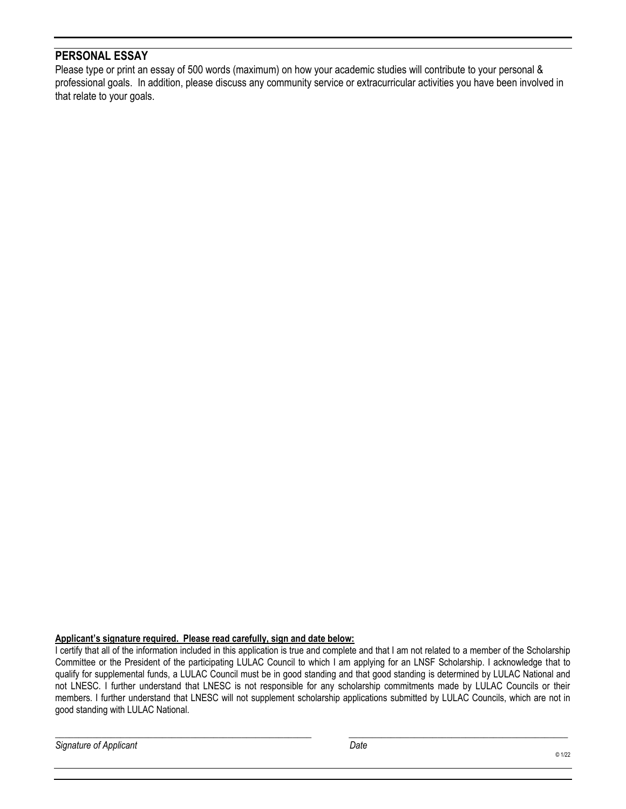# **PERSONAL ESSAY**

Please type or print an essay of 500 words (maximum) on how your academic studies will contribute to your personal & professional goals. In addition, please discuss any community service or extracurricular activities you have been involved in that relate to your goals.

#### **Applicant's signature required. Please read carefully, sign and date below:**

I certify that all of the information included in this application is true and complete and that I am not related to a member of the Scholarship Committee or the President of the participating LULAC Council to which I am applying for an LNSF Scholarship. I acknowledge that to qualify for supplemental funds, a LULAC Council must be in good standing and that good standing is determined by LULAC National and not LNESC. I further understand that LNESC is not responsible for any scholarship commitments made by LULAC Councils or their members. I further understand that LNESC will not supplement scholarship applications submitted by LULAC Councils, which are not in good standing with LULAC National.

\_\_\_\_\_\_\_\_\_\_\_\_\_\_\_\_\_\_\_\_\_\_\_\_\_\_\_\_\_\_\_\_\_\_\_\_\_\_\_\_\_\_\_\_\_\_\_\_\_\_\_\_\_\_\_ \_\_\_\_\_\_\_\_\_\_\_\_\_\_\_\_\_\_\_\_\_\_\_\_\_\_\_\_\_\_\_\_\_\_\_\_\_\_\_\_\_\_\_\_\_\_\_

*Signature of Applicant Date*